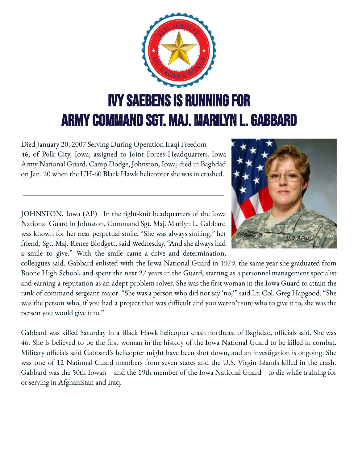

Died January 20, 2007 Serving During Operation Iraqi Freedom 46, of Polk City, Iowa; assigned to Joint Forces Headquarters, Iowa Army National Guard, Camp Dodge, Johnston, Iowa; died in Baghdad on Jan. 20 when the UH-60 Black Hawk helicopter she was in crashed.

JOHNSTON, Iowa (AP) In the tight-knit headquarters of the Iowa National Guard in Johnston, Command Sgt. Maj. Marilyn L. Gabbard was known for her near perpetual smile. "She was always smiling," her friend, Sgt. Maj. Renee Blodgett, said Wednesday. "And she always had a smile to give." With the smile came a drive and determination,



colleagues said. Gabbard enlisted with the Iowa National Guard in 1979, the same year she graduated from Boone High School, and spent the next 27 years in the Guard, starting as a personnel management specialist and earning a reputation as an adept problem solver. She was the first woman in the Iowa Guard to attain the rank of command sergeant major. "She was a person who did not say 'no,'" said Lt. Col. Greg Hapgood. "She was the person who, if you had a project that was difficult and you weren't sure who to give it to, she was the person you would give it to."

Gabbard was killed Saturday in a Black Hawk helicopter crash northeast of Baghdad, officials said. She was 46. She is believed to be the first woman in the history of the Iowa National Guard to be killed in combat. Military officials said Gabbard's helicopter might have been shot down, and an investigation is ongoing. She was one of 12 National Guard members from seven states and the U.S. Virgin Islands killed in the crash. Gabbard was the 50th Iowan \_ and the 19th member of the Iowa National Guard \_ to die while training for or serving in Afghanistan and Iraq.